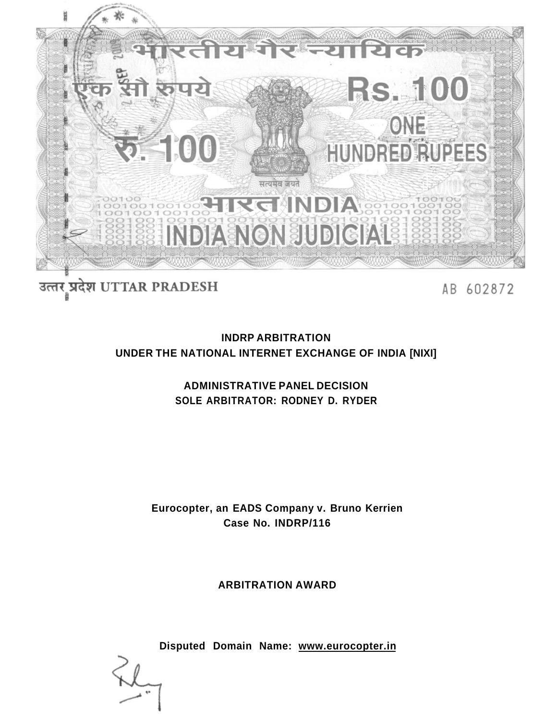

# उत्तर प्रदेश UTTAR PRADESH

AB 602872

# **INDRP ARBITRATION UNDER THE NATIONAL INTERNET EXCHANGE OF INDIA [NIXI]**

# **ADMINISTRATIVE PANEL DECISION SOLE ARBITRATOR: RODNEY D. RYDER**

# **Eurocopter, an EADS Company v. Bruno Kerrien Case No. INDRP/116**

# **ARBITRATION AWARD**

**Disputed Domain Name: [www.eurocopter.in](http://www.eurocopter.in)**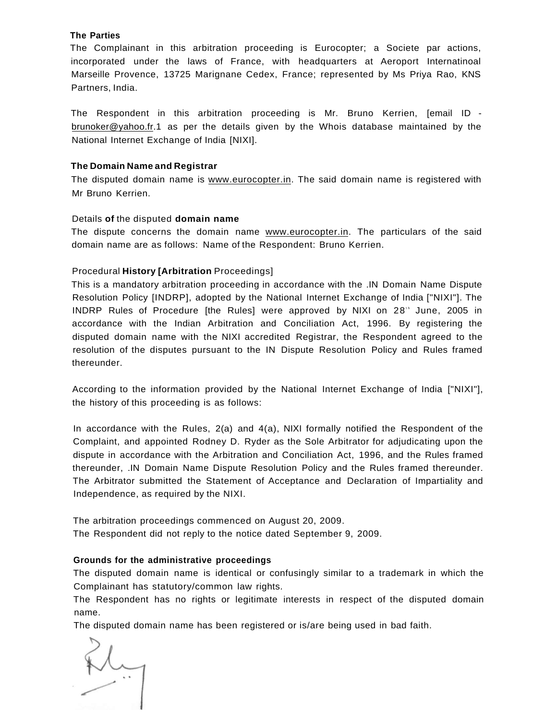#### **The Parties**

The Complainant in this arbitration proceeding is Eurocopter; a Societe par actions, incorporated under the laws of France, with headquarters at Aeroport Internatinoal Marseille Provence, 13725 Marignane Cedex, France; represented by Ms Priya Rao, KNS Partners, India.

The Respondent in this arbitration proceeding is Mr. Bruno Kerrien, [email ID brunoker@yahoo.fr.1 as per the details given by the Whois database maintained by the National Internet Exchange of India [NIXI].

#### **The Domain Name and Registrar**

The disputed domain name is [www.eurocopter.in.](http://www.eurocopter.in) The said domain name is registered with Mr Bruno Kerrien.

#### Details **of** the disputed **domain name**

The dispute concerns the domain name [www.eurocopter.in.](http://www.eurocopter.in) The particulars of the said domain name are as follows: Name of the Respondent: Bruno Kerrien.

#### Procedural **History [Arbitration** Proceedings]

This is a mandatory arbitration proceeding in accordance with the .IN Domain Name Dispute Resolution Policy [INDRP], adopted by the National Internet Exchange of India ["NIXI"]. The INDRP Rules of Procedure [the Rules] were approved by NIXI on 28" June, 2005 in accordance with the Indian Arbitration and Conciliation Act, 1996. By registering the disputed domain name with the NIXI accredited Registrar, the Respondent agreed to the resolution of the disputes pursuant to the IN Dispute Resolution Policy and Rules framed thereunder.

According to the information provided by the National Internet Exchange of India ["NIXI"], the history of this proceeding is as follows:

In accordance with the Rules, 2(a) and 4(a), NIXI formally notified the Respondent of the Complaint, and appointed Rodney D. Ryder as the Sole Arbitrator for adjudicating upon the dispute in accordance with the Arbitration and Conciliation Act, 1996, and the Rules framed thereunder, .IN Domain Name Dispute Resolution Policy and the Rules framed thereunder. The Arbitrator submitted the Statement of Acceptance and Declaration of Impartiality and Independence, as required by the NIXI.

The arbitration proceedings commenced on August 20, 2009. The Respondent did not reply to the notice dated September 9, 2009.

#### **Grounds for the administrative proceedings**

The disputed domain name is identical or confusingly similar to a trademark in which the Complainant has statutory/common law rights.

The Respondent has no rights or legitimate interests in respect of the disputed domain name.

The disputed domain name has been registered or is/are being used in bad faith.

 $M_{\odot}$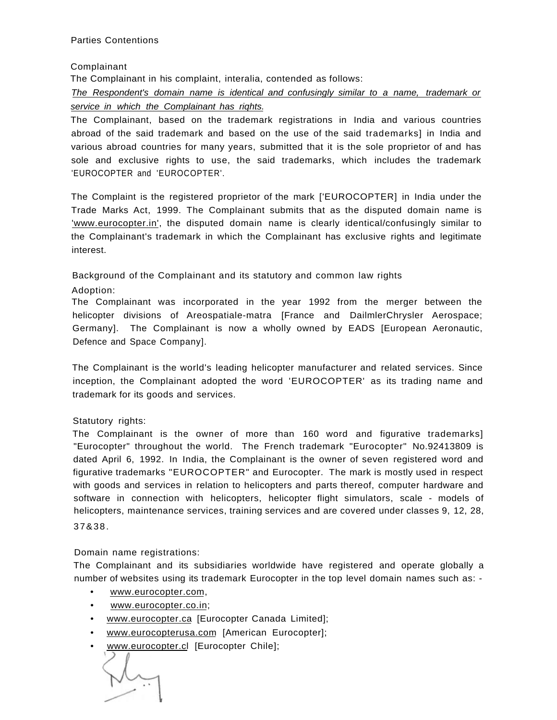### Complainant

The Complainant in his complaint, interalia, contended as follows:

The Respondent's domain name is identical and confusingly similar to a name, trademark or service in which the Complainant has rights.

The Complainant, based on the trademark registrations in India and various countries abroad of the said trademark and based on the use of the said trademarks] in India and various abroad countries for many years, submitted that it is the sole proprietor of and has sole and exclusive rights to use, the said trademarks, which includes the trademark 'EUROCOPTER and 'EUROCOPTER'.

The Complaint is the registered proprietor of the mark ['EUROCOPTER] in India under the Trade Marks Act, 1999. The Complainant submits that as the disputed domain name is ['www.eurocopter.in',](http://) the disputed domain name is clearly identical/confusingly similar to the Complainant's trademark in which the Complainant has exclusive rights and legitimate interest.

Background of the Complainant and its statutory and common law rights

Adoption:

The Complainant was incorporated in the year 1992 from the merger between the helicopter divisions of Areospatiale-matra [France and DailmlerChrysler Aerospace; Germany]. The Complainant is now a wholly owned by EADS [European Aeronautic, Defence and Space Company].

The Complainant is the world's leading helicopter manufacturer and related services. Since inception, the Complainant adopted the word 'EUROCOPTER' as its trading name and trademark for its goods and services.

# Statutory rights:

The Complainant is the owner of more than 160 word and figurative trademarks] "Eurocopter" throughout the world. The French trademark "Eurocopter" No.92413809 is dated April 6, 1992. In India, the Complainant is the owner of seven registered word and figurative trademarks "EUROCOPTER" and Eurocopter. The mark is mostly used in respect with goods and services in relation to helicopters and parts thereof, computer hardware and software in connection with helicopters, helicopter flight simulators, scale - models of helicopters, maintenance services, training services and are covered under classes 9, 12, 28, 37&38.

Domain name registrations:

The Complainant and its subsidiaries worldwide have registered and operate globally a number of websites using its trademark Eurocopter in the top level domain names such as: -

- [www.eurocopter.com,](http://www.eurocopter.com)
- [www.eurocopter.co.in;](http://www.eurocopter.co.in)
- [www.eurocopter.ca](http://www.eurocopter.ca) [Eurocopter Canada Limited];
- [www.eurocopterusa.com](http://www.eurocopterusa.com) [American Eurocopter];
- [www.eurocopter.cl](http://www.eurocopter.cl) [Eurocopter Chile];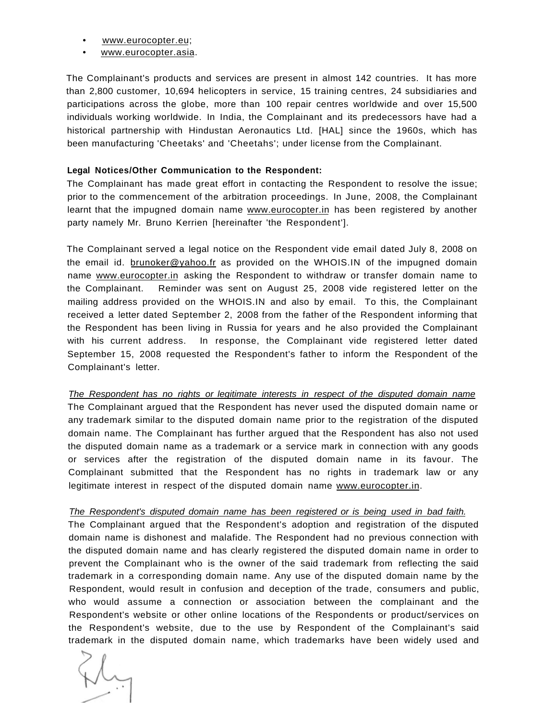- [www.eurocopter.eu;](http://www.eurocopter.eu)
- [www.eurocopter.asia.](http://www.eurocopter.asia)

The Complainant's products and services are present in almost 142 countries. It has more than 2,800 customer, 10,694 helicopters in service, 15 training centres, 24 subsidiaries and participations across the globe, more than 100 repair centres worldwide and over 15,500 individuals working worldwide. In India, the Complainant and its predecessors have had a historical partnership with Hindustan Aeronautics Ltd. [HAL] since the 1960s, which has been manufacturing 'Cheetaks' and 'Cheetahs'; under license from the Complainant.

#### **Legal Notices/Other Communication to the Respondent:**

The Complainant has made great effort in contacting the Respondent to resolve the issue; prior to the commencement of the arbitration proceedings. In June, 2008, the Complainant learnt that the impugned domain name [www.eurocopter.in h](http://www.eurocopter.in)as been registered by another party namely Mr. Bruno Kerrien [hereinafter 'the Respondent'].

The Complainant served a legal notice on the Respondent vide email dated July 8, 2008 on the email id. [brunoker@yahoo.fr a](mailto:brunoker@yahoo.fr)s provided on the WHOIS.IN of the impugned domain name [www.eurocopter.in](http://www.eurocopter.in) asking the Respondent to withdraw or transfer domain name to the Complainant. Reminder was sent on August 25, 2008 vide registered letter on the mailing address provided on the WHOIS.IN and also by email. To this, the Complainant received a letter dated September 2, 2008 from the father of the Respondent informing that the Respondent has been living in Russia for years and he also provided the Complainant with his current address. In response, the Complainant vide registered letter dated September 15, 2008 requested the Respondent's father to inform the Respondent of the Complainant's letter.

The Respondent has no rights or legitimate interests in respect of the disputed domain name The Complainant argued that the Respondent has never used the disputed domain name or any trademark similar to the disputed domain name prior to the registration of the disputed domain name. The Complainant has further argued that the Respondent has also not used the disputed domain name as a trademark or a service mark in connection with any goods or services after the registration of the disputed domain name in its favour. The Complainant submitted that the Respondent has no rights in trademark law or any legitimate interest in respect of the disputed domain name [www.eurocopter.in.](http://www.eurocopter.in)

### The Respondent's disputed domain name has been registered or is being used in bad faith.

The Complainant argued that the Respondent's adoption and registration of the disputed domain name is dishonest and malafide. The Respondent had no previous connection with the disputed domain name and has clearly registered the disputed domain name in order to prevent the Complainant who is the owner of the said trademark from reflecting the said trademark in a corresponding domain name. Any use of the disputed domain name by the Respondent, would result in confusion and deception of the trade, consumers and public, who would assume a connection or association between the complainant and the Respondent's website or other online locations of the Respondents or product/services on the Respondent's website, due to the use by Respondent of the Complainant's said trademark in the disputed domain name, which trademarks have been widely used and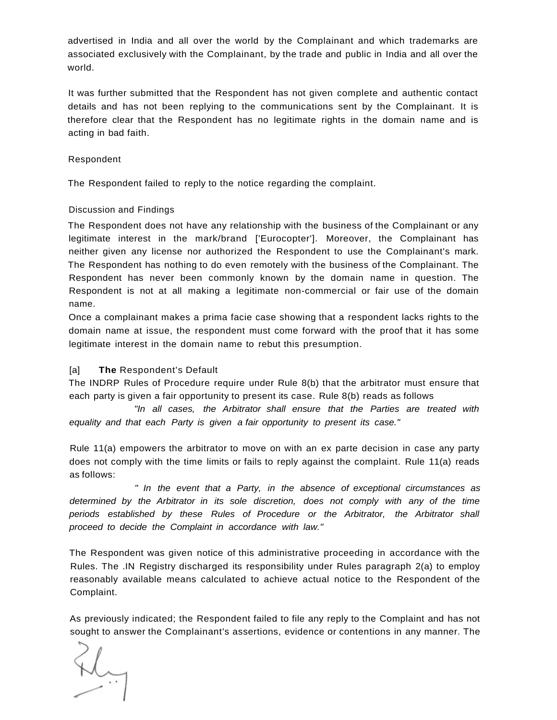advertised in India and all over the world by the Complainant and which trademarks are associated exclusively with the Complainant, by the trade and public in India and all over the world.

It was further submitted that the Respondent has not given complete and authentic contact details and has not been replying to the communications sent by the Complainant. It is therefore clear that the Respondent has no legitimate rights in the domain name and is acting in bad faith.

### Respondent

The Respondent failed to reply to the notice regarding the complaint.

### Discussion and Findings

The Respondent does not have any relationship with the business of the Complainant or any legitimate interest in the mark/brand ['Eurocopter']. Moreover, the Complainant has neither given any license nor authorized the Respondent to use the Complainant's mark. The Respondent has nothing to do even remotely with the business of the Complainant. The Respondent has never been commonly known by the domain name in question. The Respondent is not at all making a legitimate non-commercial or fair use of the domain name.

Once a complainant makes a prima facie case showing that a respondent lacks rights to the domain name at issue, the respondent must come forward with the proof that it has some legitimate interest in the domain name to rebut this presumption.

# [a] **The** Respondent's Default

The INDRP Rules of Procedure require under Rule 8(b) that the arbitrator must ensure that each party is given a fair opportunity to present its case. Rule 8(b) reads as follows

"In all cases, the Arbitrator shall ensure that the Parties are treated with equality and that each Party is given a fair opportunity to present its case."

Rule 11(a) empowers the arbitrator to move on with an ex parte decision in case any party does not comply with the time limits or fails to reply against the complaint. Rule 11(a) reads as follows:

" In the event that a Party, in the absence of exceptional circumstances as determined by the Arbitrator in its sole discretion, does not comply with any of the time periods established by these Rules of Procedure or the Arbitrator, the Arbitrator shall proceed to decide the Complaint in accordance with law."

The Respondent was given notice of this administrative proceeding in accordance with the Rules. The .IN Registry discharged its responsibility under Rules paragraph 2(a) to employ reasonably available means calculated to achieve actual notice to the Respondent of the Complaint.

As previously indicated; the Respondent failed to file any reply to the Complaint and has not sought to answer the Complainant's assertions, evidence or contentions in any manner. The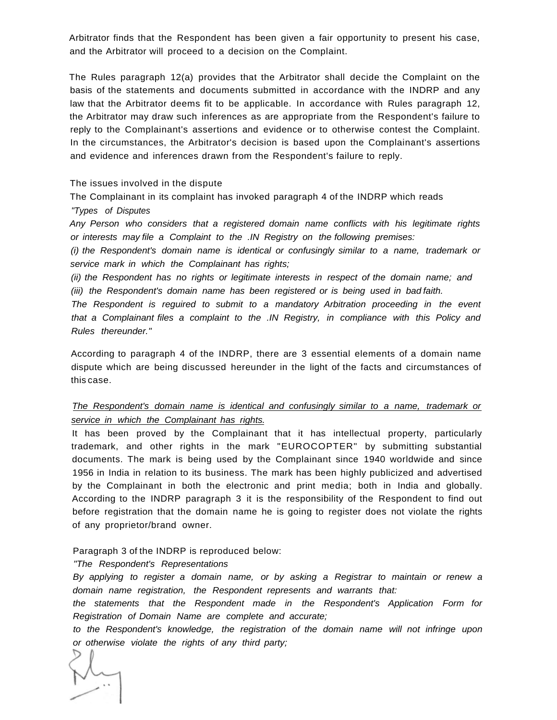Arbitrator finds that the Respondent has been given a fair opportunity to present his case, and the Arbitrator will proceed to a decision on the Complaint.

The Rules paragraph 12(a) provides that the Arbitrator shall decide the Complaint on the basis of the statements and documents submitted in accordance with the INDRP and any law that the Arbitrator deems fit to be applicable. In accordance with Rules paragraph 12, the Arbitrator may draw such inferences as are appropriate from the Respondent's failure to reply to the Complainant's assertions and evidence or to otherwise contest the Complaint. In the circumstances, the Arbitrator's decision is based upon the Complainant's assertions and evidence and inferences drawn from the Respondent's failure to reply.

The issues involved in the dispute

The Complainant in its complaint has invoked paragraph 4 of the INDRP which reads "Types of Disputes

Any Person who considers that a registered domain name conflicts with his legitimate rights or interests may file a Complaint to the .IN Registry on the following premises:

(i) the Respondent's domain name is identical or confusingly similar to a name, trademark or service mark in which the Complainant has rights;

(ii) the Respondent has no rights or legitimate interests in respect of the domain name; and (iii) the Respondent's domain name has been registered or is being used in bad faith.

The Respondent is reguired to submit to a mandatory Arbitration proceeding in the event that a Complainant files a complaint to the .IN Registry, in compliance with this Policy and Rules thereunder."

According to paragraph 4 of the INDRP, there are 3 essential elements of a domain name dispute which are being discussed hereunder in the light of the facts and circumstances of this case.

# The Respondent's domain name is identical and confusingly similar to a name, trademark or service in which the Complainant has rights.

It has been proved by the Complainant that it has intellectual property, particularly trademark, and other rights in the mark "EUROCOPTER" by submitting substantial documents. The mark is being used by the Complainant since 1940 worldwide and since 1956 in India in relation to its business. The mark has been highly publicized and advertised by the Complainant in both the electronic and print media; both in India and globally. According to the INDRP paragraph 3 it is the responsibility of the Respondent to find out before registration that the domain name he is going to register does not violate the rights of any proprietor/brand owner.

Paragraph 3 of the INDRP is reproduced below:

"The Respondent's Representations

By applying to register a domain name, or by asking a Registrar to maintain or renew a domain name registration, the Respondent represents and warrants that:

the statements that the Respondent made in the Respondent's Application Form for Registration of Domain Name are complete and accurate;

to the Respondent's knowledge, the registration of the domain name will not infringe upon or otherwise violate the rights of any third party;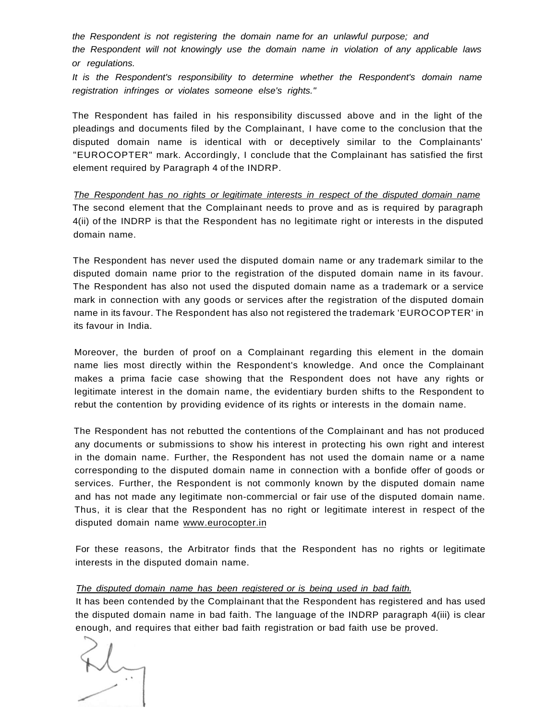the Respondent is not registering the domain name for an unlawful purpose; and the Respondent will not knowingly use the domain name in violation of any applicable laws or regulations.

It is the Respondent's responsibility to determine whether the Respondent's domain name registration infringes or violates someone else's rights."

The Respondent has failed in his responsibility discussed above and in the light of the pleadings and documents filed by the Complainant, I have come to the conclusion that the disputed domain name is identical with or deceptively similar to the Complainants' "EUROCOPTER" mark. Accordingly, I conclude that the Complainant has satisfied the first element required by Paragraph 4 of the INDRP.

The Respondent has no rights or legitimate interests in respect of the disputed domain name The second element that the Complainant needs to prove and as is required by paragraph 4(ii) of the INDRP is that the Respondent has no legitimate right or interests in the disputed domain name.

The Respondent has never used the disputed domain name or any trademark similar to the disputed domain name prior to the registration of the disputed domain name in its favour. The Respondent has also not used the disputed domain name as a trademark or a service mark in connection with any goods or services after the registration of the disputed domain name in its favour. The Respondent has also not registered the trademark 'EUROCOPTER' in its favour in India.

Moreover, the burden of proof on a Complainant regarding this element in the domain name lies most directly within the Respondent's knowledge. And once the Complainant makes a prima facie case showing that the Respondent does not have any rights or legitimate interest in the domain name, the evidentiary burden shifts to the Respondent to rebut the contention by providing evidence of its rights or interests in the domain name.

The Respondent has not rebutted the contentions of the Complainant and has not produced any documents or submissions to show his interest in protecting his own right and interest in the domain name. Further, the Respondent has not used the domain name or a name corresponding to the disputed domain name in connection with a bonfide offer of goods or services. Further, the Respondent is not commonly known by the disputed domain name and has not made any legitimate non-commercial or fair use of the disputed domain name. Thus, it is clear that the Respondent has no right or legitimate interest in respect of the disputed domain name [www.eurocopter.in](http://www.eurocopter.in)

For these reasons, the Arbitrator finds that the Respondent has no rights or legitimate interests in the disputed domain name.

### The disputed domain name has been registered or is being used in bad faith.

It has been contended by the Complainant that the Respondent has registered and has used the disputed domain name in bad faith. The language of the INDRP paragraph 4(iii) is clear enough, and requires that either bad faith registration or bad faith use be proved.

 $M_{\odot}$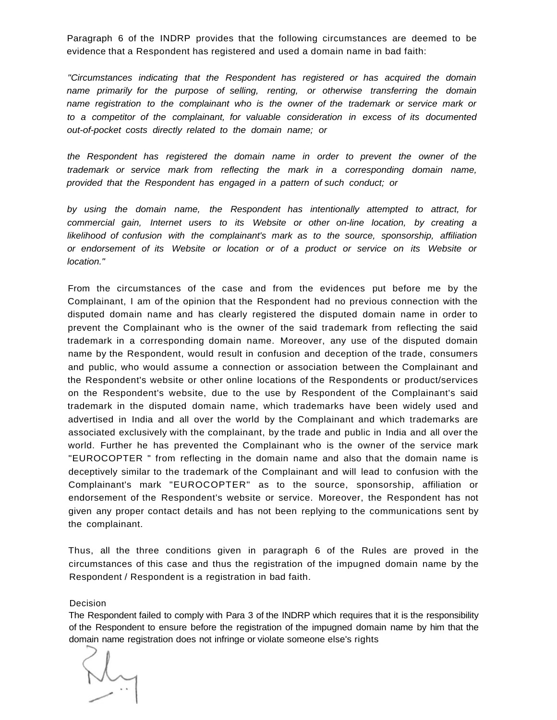Paragraph 6 of the INDRP provides that the following circumstances are deemed to be evidence that a Respondent has registered and used a domain name in bad faith:

"Circumstances indicating that the Respondent has registered or has acquired the domain name primarily for the purpose of selling, renting, or otherwise transferring the domain name registration to the complainant who is the owner of the trademark or service mark or to a competitor of the complainant, for valuable consideration in excess of its documented out-of-pocket costs directly related to the domain name; or

the Respondent has registered the domain name in order to prevent the owner of the trademark or service mark from reflecting the mark in a corresponding domain name, provided that the Respondent has engaged in a pattern of such conduct; or

by using the domain name, the Respondent has intentionally attempted to attract, for commercial gain, Internet users to its Website or other on-line location, by creating a likelihood of confusion with the complainant's mark as to the source, sponsorship, affiliation or endorsement of its Website or location or of a product or service on its Website or location."

From the circumstances of the case and from the evidences put before me by the Complainant, I am of the opinion that the Respondent had no previous connection with the disputed domain name and has clearly registered the disputed domain name in order to prevent the Complainant who is the owner of the said trademark from reflecting the said trademark in a corresponding domain name. Moreover, any use of the disputed domain name by the Respondent, would result in confusion and deception of the trade, consumers and public, who would assume a connection or association between the Complainant and the Respondent's website or other online locations of the Respondents or product/services on the Respondent's website, due to the use by Respondent of the Complainant's said trademark in the disputed domain name, which trademarks have been widely used and advertised in India and all over the world by the Complainant and which trademarks are associated exclusively with the complainant, by the trade and public in India and all over the world. Further he has prevented the Complainant who is the owner of the service mark "EUROCOPTER " from reflecting in the domain name and also that the domain name is deceptively similar to the trademark of the Complainant and will lead to confusion with the Complainant's mark "EUROCOPTER" as to the source, sponsorship, affiliation or endorsement of the Respondent's website or service. Moreover, the Respondent has not given any proper contact details and has not been replying to the communications sent by the complainant.

Thus, all the three conditions given in paragraph 6 of the Rules are proved in the circumstances of this case and thus the registration of the impugned domain name by the Respondent / Respondent is a registration in bad faith.

#### Decision

The Respondent failed to comply with Para 3 of the INDRP which requires that it is the responsibility of the Respondent to ensure before the registration of the impugned domain name by him that the domain name registration does not infringe or violate someone else's rights